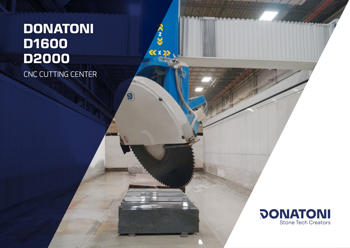# CNC CUTTING CENTER **DONATONI D1600 D2000**

**CAN** 

**KXX** 

 $\bigcirc$ 

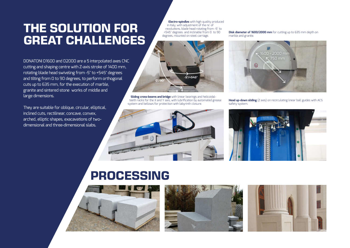### **THE SOLUTION FOR GREAT CHALLENGES**

DONATONI D1600 and D2000 are a 5 interpolated axes CNC cutting and shaping centre with Z-axis stroke of 1400 mm, rotating blade head swiveling from -5° to +545° degrees and tilting from 0 to 90 degrees, to perform orthogonal cuts up to 635 mm, for the execution of marble, granite and sintered stone works of middle and large dimensions.

They are suitable for oblique, circular, elliptical, inclined cuts, rectilinear, concave, convex, arched, elliptic shapes, exacavations of twodimensional and three-dimensional slabs.

**Electro-spindles** with high quality produced in Italy, with adjustment of the nr. of revolutions, blade head rotating from -5° to +545° degrees and inclinable from 0 to 90 degrees, mounted on steel carriage.

 $-5^{\circ}/+545^{\circ}$ 





**Head up-down sliding** (Z axis) on recirculating linear ball guides with ACS safety system.



system and bellows for protection with labyrinth closure.

**Sliding cross-beams and bridge** with linear bearings and helicoidalteeth racks for the X and Y axis, with lubrification by automated grease



### **PROCESSING**





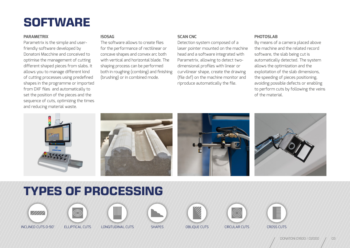## **SOFTWARE**

#### **PARAMETRIX**

Parametrix is the simple and userfriendly software developed by Donatoni Macchine and conceived to optimise the management of cutting different shaped pieces from slabs. It allows you to manage different kind of cutting processes using predefined shapes in the programme or imported from DXF files and automatically to set the position of the pieces and the sequence of cuts, optimizing the times and reducing material waste.

#### **ISOSAG**

The software allows to create files for the performance of rectilinear or concave shapes and convex arc both with vertical and horizontal blade. The shaping process can be performed both in roughing (combing) and finishing (brushing) or in combined mode.

#### **SCAN CNC**

Detection system composed of a laser pointer mounted on the machine head and a software integrated with Parametrix, allowing to detect twodimensional profiles with linear or curvilinear shape, create the drawing (file dxf) on the machine monitor and riproduce automatically the file.

#### **PHOTOSLAB**

By means of a camera placed above the machine and the related record software, the slab being cut is automatically detected. The system allows the optimization and the exploitation of the slab dimensions, the speeding of pieces positioning, avoiding possible defects or enabling to perform cuts by following the veins of the material.



## **TYPES OF PROCESSING**